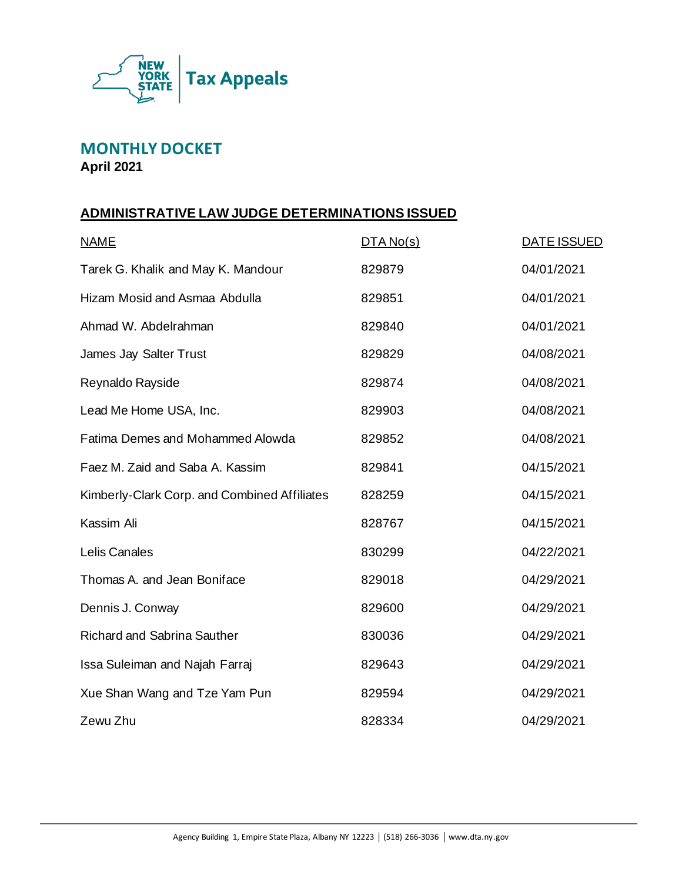

**MONTHLY DOCKET April 2021**

# **ADMINISTRATIVE LAW JUDGE DETERMINATIONS ISSUED**

| <b>NAME</b>                                  | DTA No(s) | <b>DATE ISSUED</b> |
|----------------------------------------------|-----------|--------------------|
| Tarek G. Khalik and May K. Mandour           | 829879    | 04/01/2021         |
| Hizam Mosid and Asmaa Abdulla                | 829851    | 04/01/2021         |
| Ahmad W. Abdelrahman                         | 829840    | 04/01/2021         |
| James Jay Salter Trust                       | 829829    | 04/08/2021         |
| Reynaldo Rayside                             | 829874    | 04/08/2021         |
| Lead Me Home USA, Inc.                       | 829903    | 04/08/2021         |
| Fatima Demes and Mohammed Alowda             | 829852    | 04/08/2021         |
| Faez M. Zaid and Saba A. Kassim              | 829841    | 04/15/2021         |
| Kimberly-Clark Corp. and Combined Affiliates | 828259    | 04/15/2021         |
| Kassim Ali                                   | 828767    | 04/15/2021         |
| Lelis Canales                                | 830299    | 04/22/2021         |
| Thomas A, and Jean Boniface                  | 829018    | 04/29/2021         |
| Dennis J. Conway                             | 829600    | 04/29/2021         |
| <b>Richard and Sabrina Sauther</b>           | 830036    | 04/29/2021         |
| Issa Suleiman and Najah Farraj               | 829643    | 04/29/2021         |
| Xue Shan Wang and Tze Yam Pun                | 829594    | 04/29/2021         |
| Zewu Zhu                                     | 828334    | 04/29/2021         |